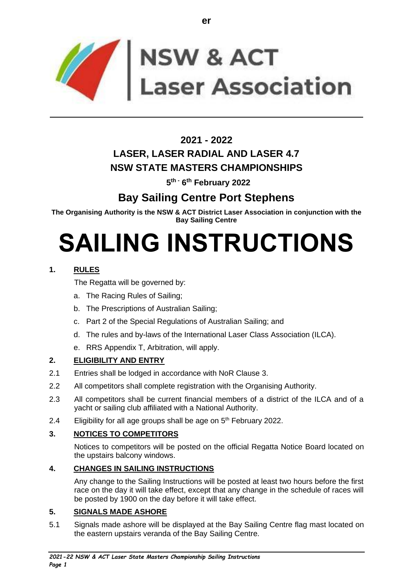

# **2021 - 2022 LASER, LASER RADIAL AND LASER 4.7 NSW STATE MASTERS CHAMPIONSHIPS**

**5 th - 6 th February 2022**

# **Bay Sailing Centre Port Stephens**

**The Organising Authority is the NSW & ACT District Laser Association in conjunction with the Bay Sailing Centre**

# **SAILING INSTRUCTIONS**

# **1. RULES**

The Regatta will be governed by:

- a. The Racing Rules of Sailing;
- b. The Prescriptions of Australian Sailing;
- c. Part 2 of the Special Regulations of Australian Sailing; and
- d. The rules and by-laws of the International Laser Class Association (ILCA).
- e. RRS Appendix T, Arbitration, will apply.

# **2. ELIGIBILITY AND ENTRY**

- 2.1 Entries shall be lodged in accordance with NoR Clause 3.
- 2.2 All competitors shall complete registration with the Organising Authority.
- 2.3 All competitors shall be current financial members of a district of the ILCA and of a yacht or sailing club affiliated with a National Authority.
- 2.4 Eligibility for all age groups shall be age on  $5<sup>th</sup>$  February 2022.

# **3. NOTICES TO COMPETITORS**

Notices to competitors will be posted on the official Regatta Notice Board located on the upstairs balcony windows.

# **4. CHANGES IN SAILING INSTRUCTIONS**

Any change to the Sailing Instructions will be posted at least two hours before the first race on the day it will take effect, except that any change in the schedule of races will be posted by 1900 on the day before it will take effect.

# **5. SIGNALS MADE ASHORE**

5.1 Signals made ashore will be displayed at the Bay Sailing Centre flag mast located on the eastern upstairs veranda of the Bay Sailing Centre.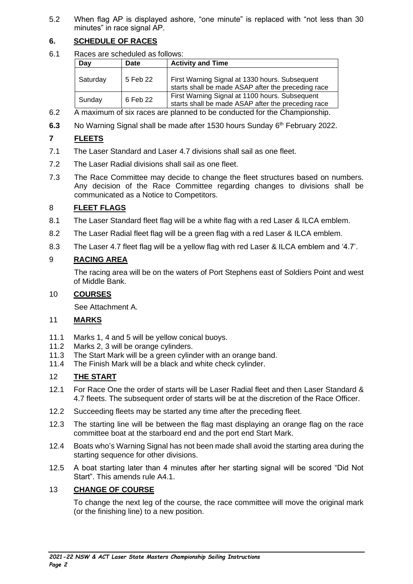5.2 When flag AP is displayed ashore, "one minute" is replaced with "not less than 30 minutes" in race signal AP.

# **6. SCHEDULE OF RACES**

6.1 Races are scheduled as follows:

| Day      | Date     | <b>Activity and Time</b>                                                                             |
|----------|----------|------------------------------------------------------------------------------------------------------|
| Saturday | 5 Feb 22 | First Warning Signal at 1330 hours. Subsequent<br>starts shall be made ASAP after the preceding race |
| Sunday   | 6 Feb 22 | First Warning Signal at 1100 hours. Subsequent<br>starts shall be made ASAP after the preceding race |

- 6.2 A maximum of six races are planned to be conducted for the Championship.
- 6.3 No Warning Signal shall be made after 1530 hours Sunday 6<sup>th</sup> February 2022.

# **7 FLEETS**

- 7.1 The Laser Standard and Laser 4.7 divisions shall sail as one fleet.
- 7.2 The Laser Radial divisions shall sail as one fleet.
- 7.3 The Race Committee may decide to change the fleet structures based on numbers. Any decision of the Race Committee regarding changes to divisions shall be communicated as a Notice to Competitors.

# 8 **FLEET FLAGS**

- 8.1 The Laser Standard fleet flag will be a white flag with a red Laser & ILCA emblem.
- 8.2 The Laser Radial fleet flag will be a green flag with a red Laser & ILCA emblem.
- 8.3 The Laser 4.7 fleet flag will be a yellow flag with red Laser & ILCA emblem and '4.7'.

# 9 **RACING AREA**

The racing area will be on the waters of Port Stephens east of Soldiers Point and west of Middle Bank.

# 10 **COURSES**

See Attachment A.

# 11 **MARKS**

- 11.1 Marks 1, 4 and 5 will be yellow conical buoys.
- 11.2 Marks 2, 3 will be orange cylinders.
- 11.3 The Start Mark will be a green cylinder with an orange band.
- 11.4 The Finish Mark will be a black and white check cylinder.

# 12 **THE START**

- 12.1 For Race One the order of starts will be Laser Radial fleet and then Laser Standard & 4.7 fleets. The subsequent order of starts will be at the discretion of the Race Officer.
- 12.2 Succeeding fleets may be started any time after the preceding fleet.
- 12.3 The starting line will be between the flag mast displaying an orange flag on the race committee boat at the starboard end and the port end Start Mark.
- 12.4 Boats who's Warning Signal has not been made shall avoid the starting area during the starting sequence for other divisions.
- 12.5 A boat starting later than 4 minutes after her starting signal will be scored "Did Not Start". This amends rule A4.1.

# 13 **CHANGE OF COURSE**

To change the next leg of the course, the race committee will move the original mark (or the finishing line) to a new position.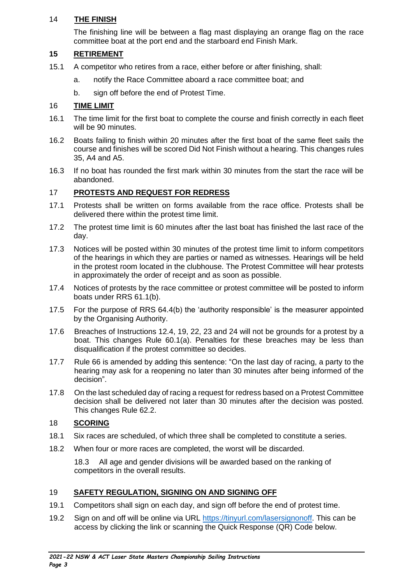#### 14 **THE FINISH**

The finishing line will be between a flag mast displaying an orange flag on the race committee boat at the port end and the starboard end Finish Mark.

#### **15 RETIREMENT**

- 15.1 A competitor who retires from a race, either before or after finishing, shall:
	- a. notify the Race Committee aboard a race committee boat; and
	- b. sign off before the end of Protest Time.

#### 16 **TIME LIMIT**

- 16.1 The time limit for the first boat to complete the course and finish correctly in each fleet will be 90 minutes.
- 16.2 Boats failing to finish within 20 minutes after the first boat of the same fleet sails the course and finishes will be scored Did Not Finish without a hearing. This changes rules 35, A4 and A5.
- 16.3 If no boat has rounded the first mark within 30 minutes from the start the race will be abandoned.

#### 17 **PROTESTS AND REQUEST FOR REDRESS**

- 17.1 Protests shall be written on forms available from the race office. Protests shall be delivered there within the protest time limit.
- 17.2 The protest time limit is 60 minutes after the last boat has finished the last race of the day.
- 17.3 Notices will be posted within 30 minutes of the protest time limit to inform competitors of the hearings in which they are parties or named as witnesses. Hearings will be held in the protest room located in the clubhouse. The Protest Committee will hear protests in approximately the order of receipt and as soon as possible.
- 17.4 Notices of protests by the race committee or protest committee will be posted to inform boats under RRS 61.1(b).
- 17.5 For the purpose of RRS 64.4(b) the 'authority responsible' is the measurer appointed by the Organising Authority.
- 17.6 Breaches of Instructions 12.4, 19, 22, 23 and 24 will not be grounds for a protest by a boat. This changes Rule 60.1(a). Penalties for these breaches may be less than disqualification if the protest committee so decides.
- 17.7 Rule 66 is amended by adding this sentence: "On the last day of racing, a party to the hearing may ask for a reopening no later than 30 minutes after being informed of the decision".
- 17.8 On the last scheduled day of racing a request for redress based on a Protest Committee decision shall be delivered not later than 30 minutes after the decision was posted. This changes Rule 62.2.

#### 18 **SCORING**

- 18.1 Six races are scheduled, of which three shall be completed to constitute a series.
- 18.2 When four or more races are completed, the worst will be discarded.

18.3 All age and gender divisions will be awarded based on the ranking of competitors in the overall results.

#### 19 **SAFETY REGULATION, SIGNING ON AND SIGNING OFF**

- 19.1 Competitors shall sign on each day, and sign off before the end of protest time.
- 19.2 Sign on and off will be online via URL [https://tinyurl.com/lasersignonoff.](https://tinyurl.com/lasersignonoff) This can be access by clicking the link or scanning the Quick Response (QR) Code below.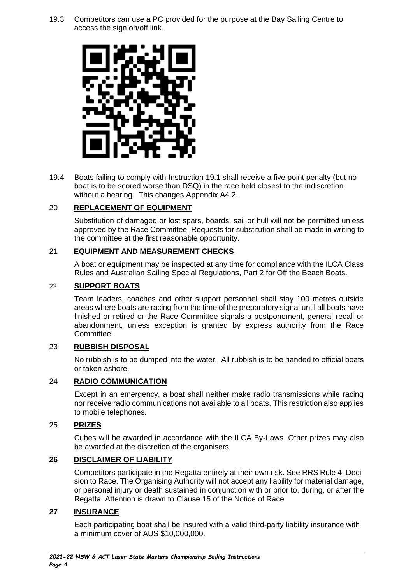19.3 Competitors can use a PC provided for the purpose at the Bay Sailing Centre to access the sign on/off link.



19.4 Boats failing to comply with Instruction 19.1 shall receive a five point penalty (but no boat is to be scored worse than DSQ) in the race held closest to the indiscretion without a hearing. This changes Appendix A4.2.

#### 20 **REPLACEMENT OF EQUIPMENT**

Substitution of damaged or lost spars, boards, sail or hull will not be permitted unless approved by the Race Committee. Requests for substitution shall be made in writing to the committee at the first reasonable opportunity.

#### 21 **EQUIPMENT AND MEASUREMENT CHECKS**

A boat or equipment may be inspected at any time for compliance with the ILCA Class Rules and Australian Sailing Special Regulations, Part 2 for Off the Beach Boats.

#### 22 **SUPPORT BOATS**

Team leaders, coaches and other support personnel shall stay 100 metres outside areas where boats are racing from the time of the preparatory signal until all boats have finished or retired or the Race Committee signals a postponement, general recall or abandonment, unless exception is granted by express authority from the Race Committee.

#### 23 **RUBBISH DISPOSAL**

No rubbish is to be dumped into the water. All rubbish is to be handed to official boats or taken ashore.

#### 24 **RADIO COMMUNICATION**

Except in an emergency, a boat shall neither make radio transmissions while racing nor receive radio communications not available to all boats. This restriction also applies to mobile telephones.

#### 25 **PRIZES**

Cubes will be awarded in accordance with the ILCA By-Laws. Other prizes may also be awarded at the discretion of the organisers.

#### **26 DISCLAIMER OF LIABILITY**

Competitors participate in the Regatta entirely at their own risk. See RRS Rule 4, Decision to Race. The Organising Authority will not accept any liability for material damage, or personal injury or death sustained in conjunction with or prior to, during, or after the Regatta. Attention is drawn to Clause 15 of the Notice of Race.

#### **27 INSURANCE**

Each participating boat shall be insured with a valid third-party liability insurance with a minimum cover of AUS \$10,000,000.